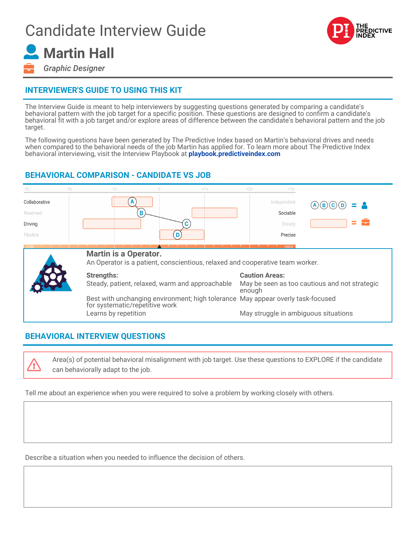## Candidate Interview Guide



# **Martin Hall**

*Graphic Designer*

### **INTERVIEWER'S GUIDE TO USING THIS KIT**

The Interview Guide is meant to help interviewers by suggesting questions generated by comparing a candidate's behavioral pattern with the job target for a specific position. These questions are designed to confirm a candidate's behavioral fit with a job target and/or explore areas of difference between the candidate's behavioral pattern and the job target.

The following questions have been generated by The Predictive Index based on Martin's behavioral drives and needs when compared to the behavioral needs of the job Martin has applied for. To learn more about The Predictive Index behavioral interviewing, visit the Interview Playbook at **[playbook.predictiveindex.com](https://playbook.predictiveindex.com)**

#### **BEHAVIORAL COMPARISON - CANDIDATE VS JOB**

| -30                       | $-2\sigma$ | $-1\sigma$                                                                                                        |   | $+1\sigma$ |  | $+2\sigma$                                              | $+30$                   |      |
|---------------------------|------------|-------------------------------------------------------------------------------------------------------------------|---|------------|--|---------------------------------------------------------|-------------------------|------|
| Collaborative<br>Reserved |            |                                                                                                                   | В |            |  |                                                         | Independent<br>Sociable |      |
| Driving                   |            |                                                                                                                   |   |            |  |                                                         | Steady                  | - 60 |
| Flexible                  |            |                                                                                                                   |   |            |  |                                                         | Precise                 |      |
|                           |            |                                                                                                                   |   |            |  |                                                         | HIGH.                   |      |
|                           |            | <b>Martin is a Operator.</b><br>An Operator is a patient, conscientious, relaxed and cooperative team worker.     |   |            |  |                                                         |                         |      |
|                           |            | <b>Strengths:</b>                                                                                                 |   |            |  | <b>Caution Areas:</b>                                   |                         |      |
|                           |            | Steady, patient, relaxed, warm and approachable                                                                   |   |            |  | May be seen as too cautious and not strategic<br>enough |                         |      |
|                           |            | Best with unchanging environment; high tolerance May appear overly task-focused<br>for systematic/repetitive work |   |            |  |                                                         |                         |      |
|                           |            | Learns by repetition                                                                                              |   |            |  | May struggle in ambiguous situations                    |                         |      |

#### **BEHAVIORAL INTERVIEW QUESTIONS**

Ø

Area(s) of potential behavioral misalignment with job target. Use these questions to EXPLORE if the candidate can behaviorally adapt to the job.

Tell me about an experience when you were required to solve a problem by working closely with others.

Describe a situation when you needed to influence the decision of others.